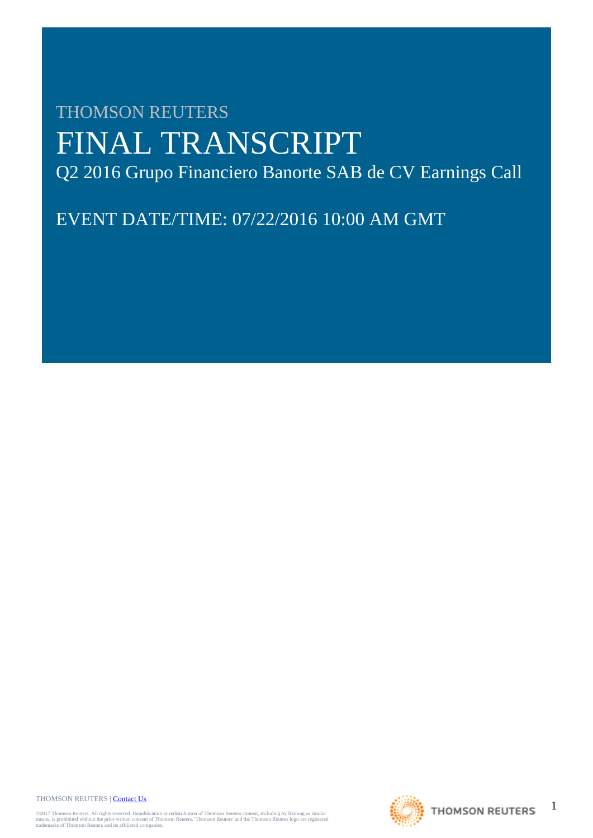# THOMSON REUTERS FINAL TRANSCRIPT Q2 2016 Grupo Financiero Banorte SAB de CV Earnings Call

EVENT DATE/TIME: 07/22/2016 10:00 AM GMT

THOMSON REUTERS | [Contact Us](http://financial.thomsonreuters.com/en/contact-us.html)

©2017 Thomson Reuters. All rights reserved. Republication or redistribution of Thomson Reuters content, including by framing or similar<br>means, is prohibited without the prior written consent of Thomson Reuters. "Thomson Re



1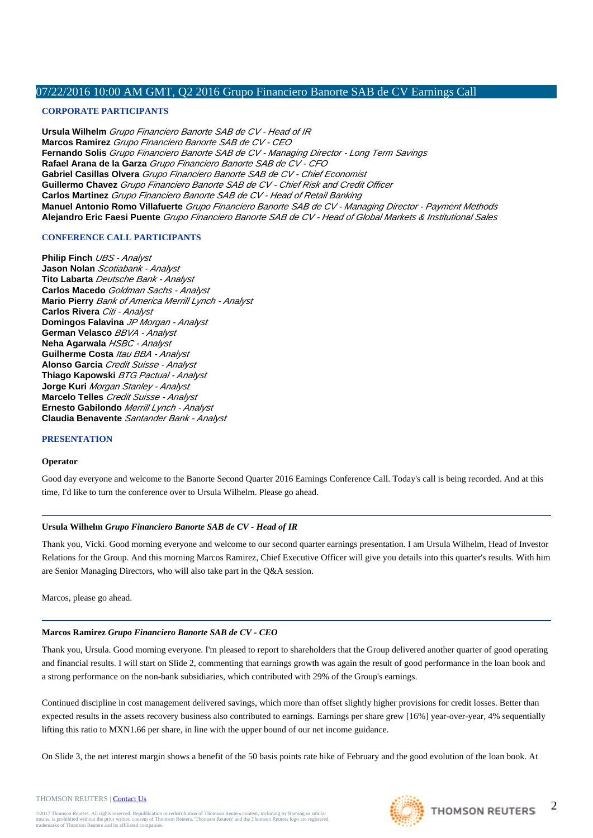### **CORPORATE PARTICIPANTS**

**Ursula Wilhelm** Grupo Financiero Banorte SAB de CV - Head of IR **Marcos Ramirez** Grupo Financiero Banorte SAB de CV - CEO **Fernando Solis** Grupo Financiero Banorte SAB de CV - Managing Director - Long Term Savings **Rafael Arana de la Garza** Grupo Financiero Banorte SAB de CV - CFO **Gabriel Casillas Olvera** Grupo Financiero Banorte SAB de CV - Chief Economist **Guillermo Chavez** Grupo Financiero Banorte SAB de CV - Chief Risk and Credit Officer **Carlos Martinez** Grupo Financiero Banorte SAB de CV - Head of Retail Banking **Manuel Antonio Romo Villafuerte** Grupo Financiero Banorte SAB de CV - Managing Director - Payment Methods **Alejandro Eric Faesi Puente** Grupo Financiero Banorte SAB de CV - Head of Global Markets & Institutional Sales

# **CONFERENCE CALL PARTICIPANTS**

**Philip Finch UBS - Analyst Jason Nolan** Scotiabank - Analyst **Tito Labarta** Deutsche Bank - Analyst **Carlos Macedo** Goldman Sachs - Analyst **Mario Pierry** Bank of America Merrill Lynch - Analyst **Carlos Rivera** Citi - Analyst **Domingos Falavina** JP Morgan - Analyst **German Velasco** BBVA - Analyst **Neha Agarwala** HSBC - Analyst **Guilherme Costa** Itau BBA - Analyst **Alonso Garcia** Credit Suisse - Analyst **Thiago Kapowski** BTG Pactual - Analyst **Jorge Kuri** Morgan Stanley - Analyst **Marcelo Telles** Credit Suisse - Analyst **Ernesto Gabilondo** Merrill Lynch - Analyst **Claudia Benavente** Santander Bank - Analyst

### **PRESENTATION**

### **Operator**

Good day everyone and welcome to the Banorte Second Quarter 2016 Earnings Conference Call. Today's call is being recorded. And at this time, I'd like to turn the conference over to Ursula Wilhelm. Please go ahead.

### **Ursula Wilhelm** *Grupo Financiero Banorte SAB de CV - Head of IR*

Thank you, Vicki. Good morning everyone and welcome to our second quarter earnings presentation. I am Ursula Wilhelm, Head of Investor Relations for the Group. And this morning Marcos Ramirez, Chief Executive Officer will give you details into this quarter's results. With him are Senior Managing Directors, who will also take part in the Q&A session.

Marcos, please go ahead.

### **Marcos Ramirez** *Grupo Financiero Banorte SAB de CV - CEO*

Thank you, Ursula. Good morning everyone. I'm pleased to report to shareholders that the Group delivered another quarter of good operating and financial results. I will start on Slide 2, commenting that earnings growth was again the result of good performance in the loan book and a strong performance on the non-bank subsidiaries, which contributed with 29% of the Group's earnings.

Continued discipline in cost management delivered savings, which more than offset slightly higher provisions for credit losses. Better than expected results in the assets recovery business also contributed to earnings. Earnings per share grew [16%] year-over-year, 4% sequentially lifting this ratio to MXN1.66 per share, in line with the upper bound of our net income guidance.

On Slide 3, the net interest margin shows a benefit of the 50 basis points rate hike of February and the good evolution of the loan book. At





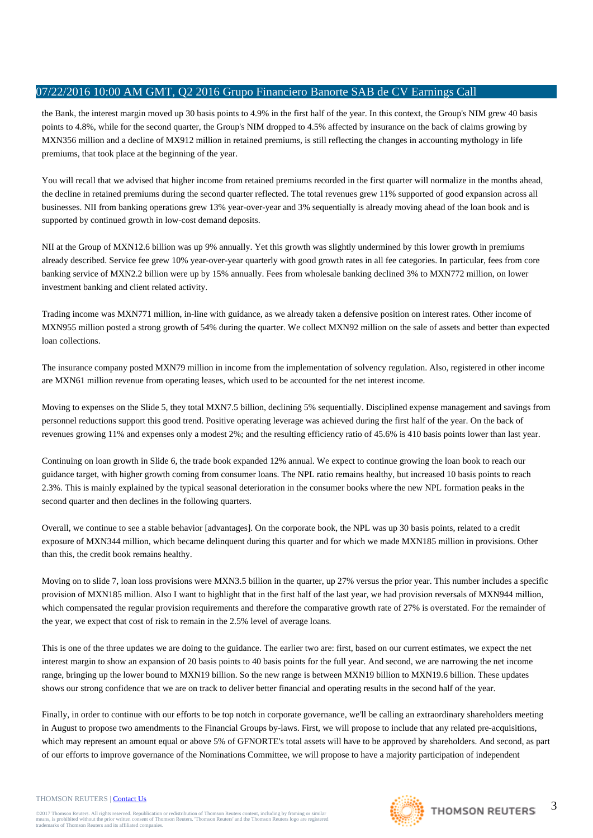the Bank, the interest margin moved up 30 basis points to 4.9% in the first half of the year. In this context, the Group's NIM grew 40 basis points to 4.8%, while for the second quarter, the Group's NIM dropped to 4.5% affected by insurance on the back of claims growing by MXN356 million and a decline of MX912 million in retained premiums, is still reflecting the changes in accounting mythology in life premiums, that took place at the beginning of the year.

You will recall that we advised that higher income from retained premiums recorded in the first quarter will normalize in the months ahead, the decline in retained premiums during the second quarter reflected. The total revenues grew 11% supported of good expansion across all businesses. NII from banking operations grew 13% year-over-year and 3% sequentially is already moving ahead of the loan book and is supported by continued growth in low-cost demand deposits.

NII at the Group of MXN12.6 billion was up 9% annually. Yet this growth was slightly undermined by this lower growth in premiums already described. Service fee grew 10% year-over-year quarterly with good growth rates in all fee categories. In particular, fees from core banking service of MXN2.2 billion were up by 15% annually. Fees from wholesale banking declined 3% to MXN772 million, on lower investment banking and client related activity.

Trading income was MXN771 million, in-line with guidance, as we already taken a defensive position on interest rates. Other income of MXN955 million posted a strong growth of 54% during the quarter. We collect MXN92 million on the sale of assets and better than expected loan collections.

The insurance company posted MXN79 million in income from the implementation of solvency regulation. Also, registered in other income are MXN61 million revenue from operating leases, which used to be accounted for the net interest income.

Moving to expenses on the Slide 5, they total MXN7.5 billion, declining 5% sequentially. Disciplined expense management and savings from personnel reductions support this good trend. Positive operating leverage was achieved during the first half of the year. On the back of revenues growing 11% and expenses only a modest 2%; and the resulting efficiency ratio of 45.6% is 410 basis points lower than last year.

Continuing on loan growth in Slide 6, the trade book expanded 12% annual. We expect to continue growing the loan book to reach our guidance target, with higher growth coming from consumer loans. The NPL ratio remains healthy, but increased 10 basis points to reach 2.3%. This is mainly explained by the typical seasonal deterioration in the consumer books where the new NPL formation peaks in the second quarter and then declines in the following quarters.

Overall, we continue to see a stable behavior [advantages]. On the corporate book, the NPL was up 30 basis points, related to a credit exposure of MXN344 million, which became delinquent during this quarter and for which we made MXN185 million in provisions. Other than this, the credit book remains healthy.

Moving on to slide 7, loan loss provisions were MXN3.5 billion in the quarter, up 27% versus the prior year. This number includes a specific provision of MXN185 million. Also I want to highlight that in the first half of the last year, we had provision reversals of MXN944 million, which compensated the regular provision requirements and therefore the comparative growth rate of 27% is overstated. For the remainder of the year, we expect that cost of risk to remain in the 2.5% level of average loans.

This is one of the three updates we are doing to the guidance. The earlier two are: first, based on our current estimates, we expect the net interest margin to show an expansion of 20 basis points to 40 basis points for the full year. And second, we are narrowing the net income range, bringing up the lower bound to MXN19 billion. So the new range is between MXN19 billion to MXN19.6 billion. These updates shows our strong confidence that we are on track to deliver better financial and operating results in the second half of the year.

Finally, in order to continue with our efforts to be top notch in corporate governance, we'll be calling an extraordinary shareholders meeting in August to propose two amendments to the Financial Groups by-laws. First, we will propose to include that any related pre-acquisitions, which may represent an amount equal or above 5% of GFNORTE's total assets will have to be approved by shareholders. And second, as part of our efforts to improve governance of the Nominations Committee, we will propose to have a majority participation of independent

#### THOMSON REUTERS | [Contact Us](http://financial.thomsonreuters.com/en/contact-us.html)

©2017 Thomson Reuters. All rights reserved. Republication or redistribution of Thomson Reuters content, including by framing or similar<br>means, is prohibited without the prior written consent of Thomson Reuters. "Thomson Re

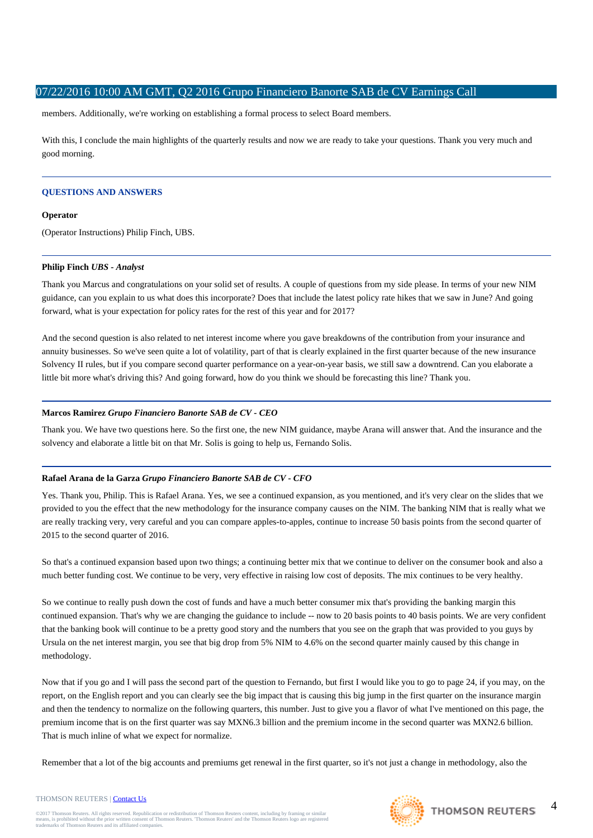members. Additionally, we're working on establishing a formal process to select Board members.

With this, I conclude the main highlights of the quarterly results and now we are ready to take your questions. Thank you very much and good morning.

### **QUESTIONS AND ANSWERS**

### **Operator**

(Operator Instructions) Philip Finch, UBS.

### **Philip Finch** *UBS - Analyst*

Thank you Marcus and congratulations on your solid set of results. A couple of questions from my side please. In terms of your new NIM guidance, can you explain to us what does this incorporate? Does that include the latest policy rate hikes that we saw in June? And going forward, what is your expectation for policy rates for the rest of this year and for 2017?

And the second question is also related to net interest income where you gave breakdowns of the contribution from your insurance and annuity businesses. So we've seen quite a lot of volatility, part of that is clearly explained in the first quarter because of the new insurance Solvency II rules, but if you compare second quarter performance on a year-on-year basis, we still saw a downtrend. Can you elaborate a little bit more what's driving this? And going forward, how do you think we should be forecasting this line? Thank you.

### **Marcos Ramirez** *Grupo Financiero Banorte SAB de CV - CEO*

Thank you. We have two questions here. So the first one, the new NIM guidance, maybe Arana will answer that. And the insurance and the solvency and elaborate a little bit on that Mr. Solis is going to help us, Fernando Solis.

### **Rafael Arana de la Garza** *Grupo Financiero Banorte SAB de CV - CFO*

Yes. Thank you, Philip. This is Rafael Arana. Yes, we see a continued expansion, as you mentioned, and it's very clear on the slides that we provided to you the effect that the new methodology for the insurance company causes on the NIM. The banking NIM that is really what we are really tracking very, very careful and you can compare apples-to-apples, continue to increase 50 basis points from the second quarter of 2015 to the second quarter of 2016.

So that's a continued expansion based upon two things; a continuing better mix that we continue to deliver on the consumer book and also a much better funding cost. We continue to be very, very effective in raising low cost of deposits. The mix continues to be very healthy.

So we continue to really push down the cost of funds and have a much better consumer mix that's providing the banking margin this continued expansion. That's why we are changing the guidance to include -- now to 20 basis points to 40 basis points. We are very confident that the banking book will continue to be a pretty good story and the numbers that you see on the graph that was provided to you guys by Ursula on the net interest margin, you see that big drop from 5% NIM to 4.6% on the second quarter mainly caused by this change in methodology.

Now that if you go and I will pass the second part of the question to Fernando, but first I would like you to go to page 24, if you may, on the report, on the English report and you can clearly see the big impact that is causing this big jump in the first quarter on the insurance margin and then the tendency to normalize on the following quarters, this number. Just to give you a flavor of what I've mentioned on this page, the premium income that is on the first quarter was say MXN6.3 billion and the premium income in the second quarter was MXN2.6 billion. That is much inline of what we expect for normalize.

Remember that a lot of the big accounts and premiums get renewal in the first quarter, so it's not just a change in methodology, also the

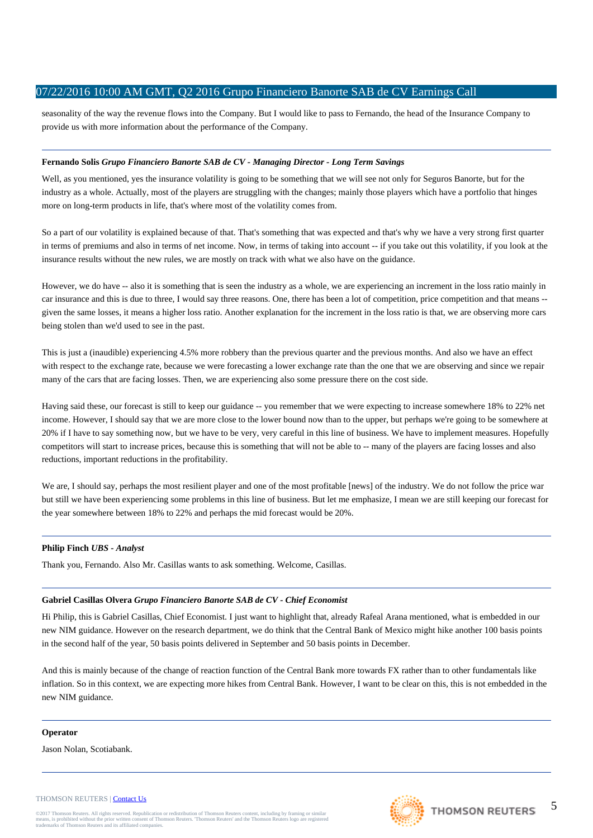seasonality of the way the revenue flows into the Company. But I would like to pass to Fernando, the head of the Insurance Company to provide us with more information about the performance of the Company.

### **Fernando Solis** *Grupo Financiero Banorte SAB de CV - Managing Director - Long Term Savings*

Well, as you mentioned, yes the insurance volatility is going to be something that we will see not only for Seguros Banorte, but for the industry as a whole. Actually, most of the players are struggling with the changes; mainly those players which have a portfolio that hinges more on long-term products in life, that's where most of the volatility comes from.

So a part of our volatility is explained because of that. That's something that was expected and that's why we have a very strong first quarter in terms of premiums and also in terms of net income. Now, in terms of taking into account -- if you take out this volatility, if you look at the insurance results without the new rules, we are mostly on track with what we also have on the guidance.

However, we do have -- also it is something that is seen the industry as a whole, we are experiencing an increment in the loss ratio mainly in car insurance and this is due to three, I would say three reasons. One, there has been a lot of competition, price competition and that means - given the same losses, it means a higher loss ratio. Another explanation for the increment in the loss ratio is that, we are observing more cars being stolen than we'd used to see in the past.

This is just a (inaudible) experiencing 4.5% more robbery than the previous quarter and the previous months. And also we have an effect with respect to the exchange rate, because we were forecasting a lower exchange rate than the one that we are observing and since we repair many of the cars that are facing losses. Then, we are experiencing also some pressure there on the cost side.

Having said these, our forecast is still to keep our guidance -- you remember that we were expecting to increase somewhere 18% to 22% net income. However, I should say that we are more close to the lower bound now than to the upper, but perhaps we're going to be somewhere at 20% if I have to say something now, but we have to be very, very careful in this line of business. We have to implement measures. Hopefully competitors will start to increase prices, because this is something that will not be able to -- many of the players are facing losses and also reductions, important reductions in the profitability.

We are, I should say, perhaps the most resilient player and one of the most profitable [news] of the industry. We do not follow the price war but still we have been experiencing some problems in this line of business. But let me emphasize, I mean we are still keeping our forecast for the year somewhere between 18% to 22% and perhaps the mid forecast would be 20%.

### **Philip Finch** *UBS - Analyst*

Thank you, Fernando. Also Mr. Casillas wants to ask something. Welcome, Casillas.

### **Gabriel Casillas Olvera** *Grupo Financiero Banorte SAB de CV - Chief Economist*

Hi Philip, this is Gabriel Casillas, Chief Economist. I just want to highlight that, already Rafeal Arana mentioned, what is embedded in our new NIM guidance. However on the research department, we do think that the Central Bank of Mexico might hike another 100 basis points in the second half of the year, 50 basis points delivered in September and 50 basis points in December.

And this is mainly because of the change of reaction function of the Central Bank more towards FX rather than to other fundamentals like inflation. So in this context, we are expecting more hikes from Central Bank. However, I want to be clear on this, this is not embedded in the new NIM guidance.

### **Operator**

Jason Nolan, Scotiabank.

### THOMSON REUTERS | [Contact Us](http://financial.thomsonreuters.com/en/contact-us.html)

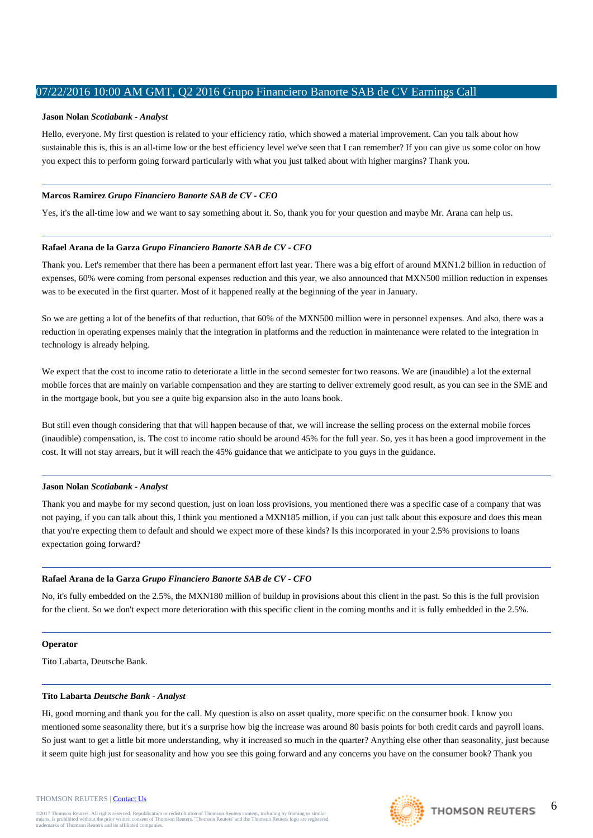### **Jason Nolan** *Scotiabank - Analyst*

Hello, everyone. My first question is related to your efficiency ratio, which showed a material improvement. Can you talk about how sustainable this is, this is an all-time low or the best efficiency level we've seen that I can remember? If you can give us some color on how you expect this to perform going forward particularly with what you just talked about with higher margins? Thank you.

### **Marcos Ramirez** *Grupo Financiero Banorte SAB de CV - CEO*

Yes, it's the all-time low and we want to say something about it. So, thank you for your question and maybe Mr. Arana can help us.

# **Rafael Arana de la Garza** *Grupo Financiero Banorte SAB de CV - CFO*

Thank you. Let's remember that there has been a permanent effort last year. There was a big effort of around MXN1.2 billion in reduction of expenses, 60% were coming from personal expenses reduction and this year, we also announced that MXN500 million reduction in expenses was to be executed in the first quarter. Most of it happened really at the beginning of the year in January.

So we are getting a lot of the benefits of that reduction, that 60% of the MXN500 million were in personnel expenses. And also, there was a reduction in operating expenses mainly that the integration in platforms and the reduction in maintenance were related to the integration in technology is already helping.

We expect that the cost to income ratio to deteriorate a little in the second semester for two reasons. We are (inaudible) a lot the external mobile forces that are mainly on variable compensation and they are starting to deliver extremely good result, as you can see in the SME and in the mortgage book, but you see a quite big expansion also in the auto loans book.

But still even though considering that that will happen because of that, we will increase the selling process on the external mobile forces (inaudible) compensation, is. The cost to income ratio should be around 45% for the full year. So, yes it has been a good improvement in the cost. It will not stay arrears, but it will reach the 45% guidance that we anticipate to you guys in the guidance.

### **Jason Nolan** *Scotiabank - Analyst*

Thank you and maybe for my second question, just on loan loss provisions, you mentioned there was a specific case of a company that was not paying, if you can talk about this, I think you mentioned a MXN185 million, if you can just talk about this exposure and does this mean that you're expecting them to default and should we expect more of these kinds? Is this incorporated in your 2.5% provisions to loans expectation going forward?

### **Rafael Arana de la Garza** *Grupo Financiero Banorte SAB de CV - CFO*

No, it's fully embedded on the 2.5%, the MXN180 million of buildup in provisions about this client in the past. So this is the full provision for the client. So we don't expect more deterioration with this specific client in the coming months and it is fully embedded in the 2.5%.

### **Operator**

Tito Labarta, Deutsche Bank.

### **Tito Labarta** *Deutsche Bank - Analyst*

Hi, good morning and thank you for the call. My question is also on asset quality, more specific on the consumer book. I know you mentioned some seasonality there, but it's a surprise how big the increase was around 80 basis points for both credit cards and payroll loans. So just want to get a little bit more understanding, why it increased so much in the quarter? Anything else other than seasonality, just because it seem quite high just for seasonality and how you see this going forward and any concerns you have on the consumer book? Thank you

# THOMSON REUTERS | [Contact Us](http://financial.thomsonreuters.com/en/contact-us.html)

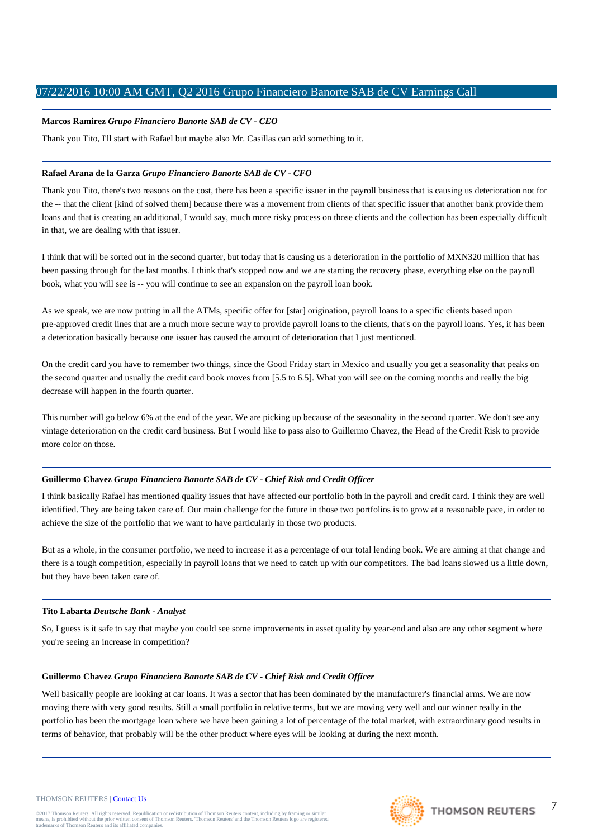### **Marcos Ramirez** *Grupo Financiero Banorte SAB de CV - CEO*

Thank you Tito, I'll start with Rafael but maybe also Mr. Casillas can add something to it.

### **Rafael Arana de la Garza** *Grupo Financiero Banorte SAB de CV - CFO*

Thank you Tito, there's two reasons on the cost, there has been a specific issuer in the payroll business that is causing us deterioration not for the -- that the client [kind of solved them] because there was a movement from clients of that specific issuer that another bank provide them loans and that is creating an additional, I would say, much more risky process on those clients and the collection has been especially difficult in that, we are dealing with that issuer.

I think that will be sorted out in the second quarter, but today that is causing us a deterioration in the portfolio of MXN320 million that has been passing through for the last months. I think that's stopped now and we are starting the recovery phase, everything else on the payroll book, what you will see is -- you will continue to see an expansion on the payroll loan book.

As we speak, we are now putting in all the ATMs, specific offer for [star] origination, payroll loans to a specific clients based upon pre-approved credit lines that are a much more secure way to provide payroll loans to the clients, that's on the payroll loans. Yes, it has been a deterioration basically because one issuer has caused the amount of deterioration that I just mentioned.

On the credit card you have to remember two things, since the Good Friday start in Mexico and usually you get a seasonality that peaks on the second quarter and usually the credit card book moves from [5.5 to 6.5]. What you will see on the coming months and really the big decrease will happen in the fourth quarter.

This number will go below 6% at the end of the year. We are picking up because of the seasonality in the second quarter. We don't see any vintage deterioration on the credit card business. But I would like to pass also to Guillermo Chavez, the Head of the Credit Risk to provide more color on those.

### **Guillermo Chavez** *Grupo Financiero Banorte SAB de CV - Chief Risk and Credit Officer*

I think basically Rafael has mentioned quality issues that have affected our portfolio both in the payroll and credit card. I think they are well identified. They are being taken care of. Our main challenge for the future in those two portfolios is to grow at a reasonable pace, in order to achieve the size of the portfolio that we want to have particularly in those two products.

But as a whole, in the consumer portfolio, we need to increase it as a percentage of our total lending book. We are aiming at that change and there is a tough competition, especially in payroll loans that we need to catch up with our competitors. The bad loans slowed us a little down, but they have been taken care of.

### **Tito Labarta** *Deutsche Bank - Analyst*

So, I guess is it safe to say that maybe you could see some improvements in asset quality by year-end and also are any other segment where you're seeing an increase in competition?

### **Guillermo Chavez** *Grupo Financiero Banorte SAB de CV - Chief Risk and Credit Officer*

Well basically people are looking at car loans. It was a sector that has been dominated by the manufacturer's financial arms. We are now moving there with very good results. Still a small portfolio in relative terms, but we are moving very well and our winner really in the portfolio has been the mortgage loan where we have been gaining a lot of percentage of the total market, with extraordinary good results in terms of behavior, that probably will be the other product where eyes will be looking at during the next month.





#### THOMSON REUTERS | [Contact Us](http://financial.thomsonreuters.com/en/contact-us.html)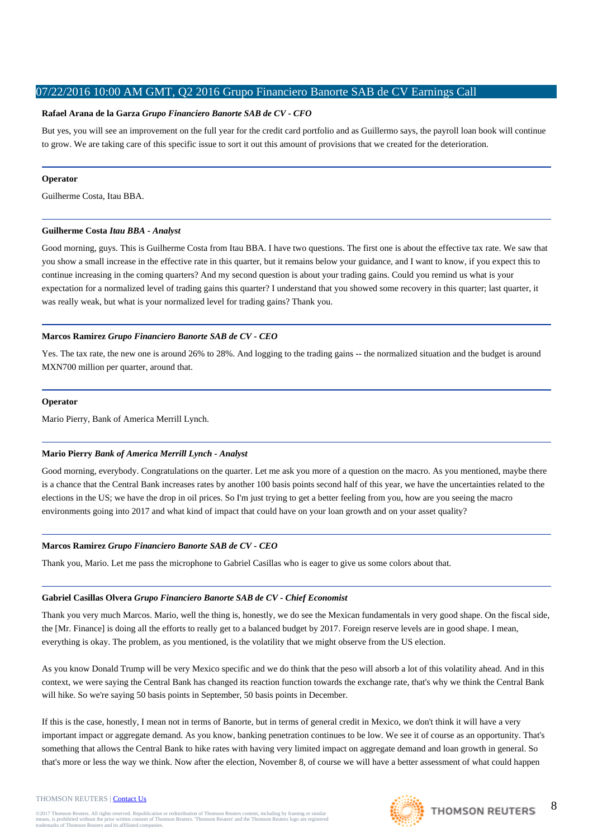### **Rafael Arana de la Garza** *Grupo Financiero Banorte SAB de CV - CFO*

But yes, you will see an improvement on the full year for the credit card portfolio and as Guillermo says, the payroll loan book will continue to grow. We are taking care of this specific issue to sort it out this amount of provisions that we created for the deterioration.

### **Operator**

Guilherme Costa, Itau BBA.

# **Guilherme Costa** *Itau BBA - Analyst*

Good morning, guys. This is Guilherme Costa from Itau BBA. I have two questions. The first one is about the effective tax rate. We saw that you show a small increase in the effective rate in this quarter, but it remains below your guidance, and I want to know, if you expect this to continue increasing in the coming quarters? And my second question is about your trading gains. Could you remind us what is your expectation for a normalized level of trading gains this quarter? I understand that you showed some recovery in this quarter; last quarter, it was really weak, but what is your normalized level for trading gains? Thank you.

# **Marcos Ramirez** *Grupo Financiero Banorte SAB de CV - CEO*

Yes. The tax rate, the new one is around 26% to 28%. And logging to the trading gains -- the normalized situation and the budget is around MXN700 million per quarter, around that.

### **Operator**

Mario Pierry, Bank of America Merrill Lynch.

### **Mario Pierry** *Bank of America Merrill Lynch - Analyst*

Good morning, everybody. Congratulations on the quarter. Let me ask you more of a question on the macro. As you mentioned, maybe there is a chance that the Central Bank increases rates by another 100 basis points second half of this year, we have the uncertainties related to the elections in the US; we have the drop in oil prices. So I'm just trying to get a better feeling from you, how are you seeing the macro environments going into 2017 and what kind of impact that could have on your loan growth and on your asset quality?

### **Marcos Ramirez** *Grupo Financiero Banorte SAB de CV - CEO*

Thank you, Mario. Let me pass the microphone to Gabriel Casillas who is eager to give us some colors about that.

### **Gabriel Casillas Olvera** *Grupo Financiero Banorte SAB de CV - Chief Economist*

Thank you very much Marcos. Mario, well the thing is, honestly, we do see the Mexican fundamentals in very good shape. On the fiscal side, the [Mr. Finance] is doing all the efforts to really get to a balanced budget by 2017. Foreign reserve levels are in good shape. I mean, everything is okay. The problem, as you mentioned, is the volatility that we might observe from the US election.

As you know Donald Trump will be very Mexico specific and we do think that the peso will absorb a lot of this volatility ahead. And in this context, we were saying the Central Bank has changed its reaction function towards the exchange rate, that's why we think the Central Bank will hike. So we're saying 50 basis points in September, 50 basis points in December.

If this is the case, honestly, I mean not in terms of Banorte, but in terms of general credit in Mexico, we don't think it will have a very important impact or aggregate demand. As you know, banking penetration continues to be low. We see it of course as an opportunity. That's something that allows the Central Bank to hike rates with having very limited impact on aggregate demand and loan growth in general. So that's more or less the way we think. Now after the election, November 8, of course we will have a better assessment of what could happen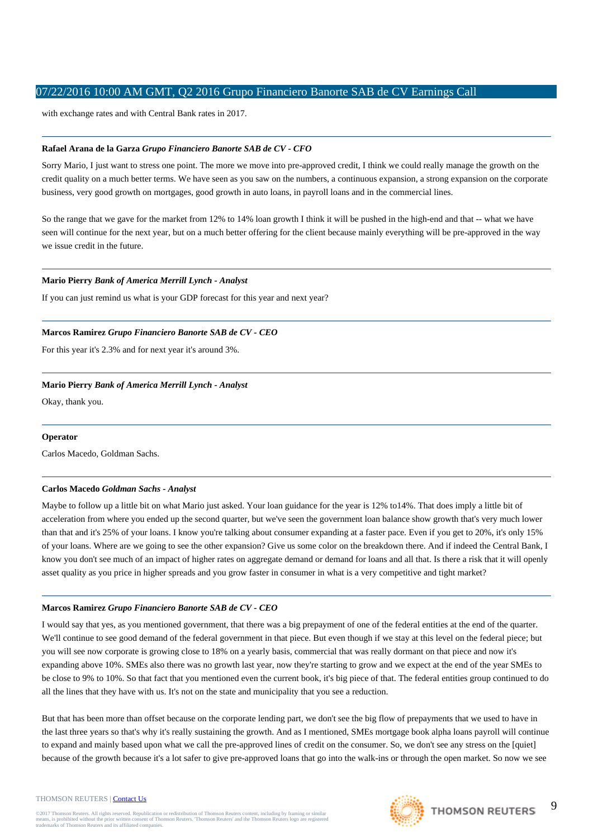with exchange rates and with Central Bank rates in 2017.

# **Rafael Arana de la Garza** *Grupo Financiero Banorte SAB de CV - CFO*

Sorry Mario, I just want to stress one point. The more we move into pre-approved credit, I think we could really manage the growth on the credit quality on a much better terms. We have seen as you saw on the numbers, a continuous expansion, a strong expansion on the corporate business, very good growth on mortgages, good growth in auto loans, in payroll loans and in the commercial lines.

So the range that we gave for the market from 12% to 14% loan growth I think it will be pushed in the high-end and that -- what we have seen will continue for the next year, but on a much better offering for the client because mainly everything will be pre-approved in the way we issue credit in the future.

# **Mario Pierry** *Bank of America Merrill Lynch - Analyst*

If you can just remind us what is your GDP forecast for this year and next year?

# **Marcos Ramirez** *Grupo Financiero Banorte SAB de CV - CEO*

For this year it's 2.3% and for next year it's around 3%.

# **Mario Pierry** *Bank of America Merrill Lynch - Analyst*

Okay, thank you.

### **Operator**

Carlos Macedo, Goldman Sachs.

### **Carlos Macedo** *Goldman Sachs - Analyst*

Maybe to follow up a little bit on what Mario just asked. Your loan guidance for the year is 12% to14%. That does imply a little bit of acceleration from where you ended up the second quarter, but we've seen the government loan balance show growth that's very much lower than that and it's 25% of your loans. I know you're talking about consumer expanding at a faster pace. Even if you get to 20%, it's only 15% of your loans. Where are we going to see the other expansion? Give us some color on the breakdown there. And if indeed the Central Bank, I know you don't see much of an impact of higher rates on aggregate demand or demand for loans and all that. Is there a risk that it will openly asset quality as you price in higher spreads and you grow faster in consumer in what is a very competitive and tight market?

### **Marcos Ramirez** *Grupo Financiero Banorte SAB de CV - CEO*

I would say that yes, as you mentioned government, that there was a big prepayment of one of the federal entities at the end of the quarter. We'll continue to see good demand of the federal government in that piece. But even though if we stay at this level on the federal piece; but you will see now corporate is growing close to 18% on a yearly basis, commercial that was really dormant on that piece and now it's expanding above 10%. SMEs also there was no growth last year, now they're starting to grow and we expect at the end of the year SMEs to be close to 9% to 10%. So that fact that you mentioned even the current book, it's big piece of that. The federal entities group continued to do all the lines that they have with us. It's not on the state and municipality that you see a reduction.

But that has been more than offset because on the corporate lending part, we don't see the big flow of prepayments that we used to have in the last three years so that's why it's really sustaining the growth. And as I mentioned, SMEs mortgage book alpha loans payroll will continue to expand and mainly based upon what we call the pre-approved lines of credit on the consumer. So, we don't see any stress on the [quiet] because of the growth because it's a lot safer to give pre-approved loans that go into the walk-ins or through the open market. So now we see

#### THOMSON REUTERS | [Contact Us](http://financial.thomsonreuters.com/en/contact-us.html)

@2017 Thomson Reuters. All rights reserved. Republication or redistribution of Thomson Reuters content, including by framing or similar<br>means, is prohibited without the prior written consent of Thomson Reuters. 'Thomson Re means, is prohibited without the prior written consent trademarks of Thomson Reuters and its affiliated comp



9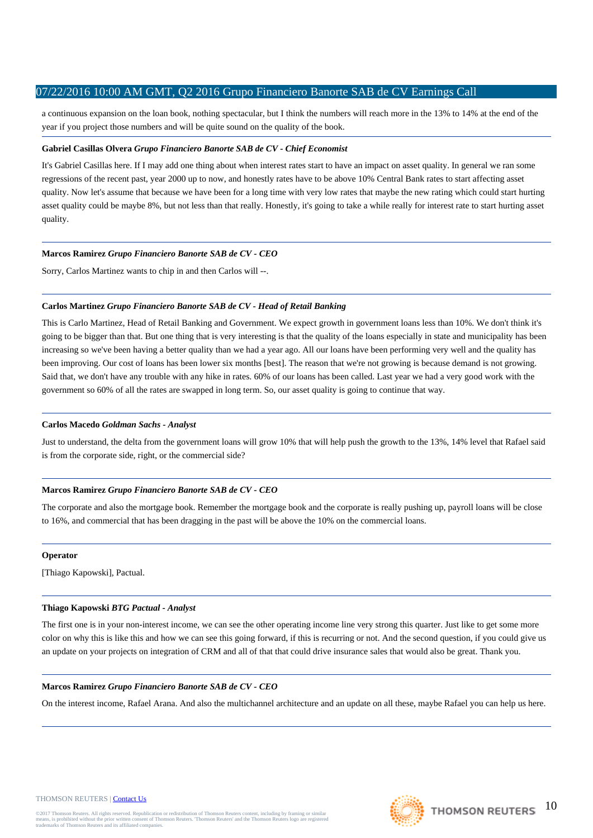a continuous expansion on the loan book, nothing spectacular, but I think the numbers will reach more in the 13% to 14% at the end of the year if you project those numbers and will be quite sound on the quality of the book.

### **Gabriel Casillas Olvera** *Grupo Financiero Banorte SAB de CV - Chief Economist*

It's Gabriel Casillas here. If I may add one thing about when interest rates start to have an impact on asset quality. In general we ran some regressions of the recent past, year 2000 up to now, and honestly rates have to be above 10% Central Bank rates to start affecting asset quality. Now let's assume that because we have been for a long time with very low rates that maybe the new rating which could start hurting asset quality could be maybe 8%, but not less than that really. Honestly, it's going to take a while really for interest rate to start hurting asset quality.

### **Marcos Ramirez** *Grupo Financiero Banorte SAB de CV - CEO*

Sorry, Carlos Martinez wants to chip in and then Carlos will --.

### **Carlos Martinez** *Grupo Financiero Banorte SAB de CV - Head of Retail Banking*

This is Carlo Martinez, Head of Retail Banking and Government. We expect growth in government loans less than 10%. We don't think it's going to be bigger than that. But one thing that is very interesting is that the quality of the loans especially in state and municipality has been increasing so we've been having a better quality than we had a year ago. All our loans have been performing very well and the quality has been improving. Our cost of loans has been lower six months [best]. The reason that we're not growing is because demand is not growing. Said that, we don't have any trouble with any hike in rates. 60% of our loans has been called. Last year we had a very good work with the government so 60% of all the rates are swapped in long term. So, our asset quality is going to continue that way.

### **Carlos Macedo** *Goldman Sachs - Analyst*

Just to understand, the delta from the government loans will grow 10% that will help push the growth to the 13%, 14% level that Rafael said is from the corporate side, right, or the commercial side?

### **Marcos Ramirez** *Grupo Financiero Banorte SAB de CV - CEO*

The corporate and also the mortgage book. Remember the mortgage book and the corporate is really pushing up, payroll loans will be close to 16%, and commercial that has been dragging in the past will be above the 10% on the commercial loans.

### **Operator**

[Thiago Kapowski], Pactual.

### **Thiago Kapowski** *BTG Pactual - Analyst*

The first one is in your non-interest income, we can see the other operating income line very strong this quarter. Just like to get some more color on why this is like this and how we can see this going forward, if this is recurring or not. And the second question, if you could give us an update on your projects on integration of CRM and all of that that could drive insurance sales that would also be great. Thank you.

### **Marcos Ramirez** *Grupo Financiero Banorte SAB de CV - CEO*

On the interest income, Rafael Arana. And also the multichannel architecture and an update on all these, maybe Rafael you can help us here.

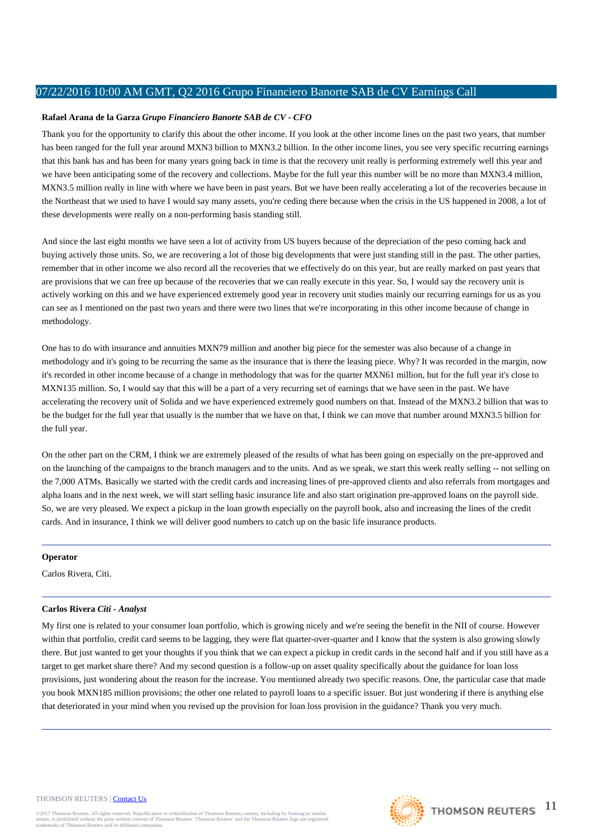### **Rafael Arana de la Garza** *Grupo Financiero Banorte SAB de CV - CFO*

Thank you for the opportunity to clarify this about the other income. If you look at the other income lines on the past two years, that number has been ranged for the full year around MXN3 billion to MXN3.2 billion. In the other income lines, you see very specific recurring earnings that this bank has and has been for many years going back in time is that the recovery unit really is performing extremely well this year and we have been anticipating some of the recovery and collections. Maybe for the full year this number will be no more than MXN3.4 million, MXN3.5 million really in line with where we have been in past years. But we have been really accelerating a lot of the recoveries because in the Northeast that we used to have I would say many assets, you're ceding there because when the crisis in the US happened in 2008, a lot of these developments were really on a non-performing basis standing still.

And since the last eight months we have seen a lot of activity from US buyers because of the depreciation of the peso coming back and buying actively those units. So, we are recovering a lot of those big developments that were just standing still in the past. The other parties, remember that in other income we also record all the recoveries that we effectively do on this year, but are really marked on past years that are provisions that we can free up because of the recoveries that we can really execute in this year. So, I would say the recovery unit is actively working on this and we have experienced extremely good year in recovery unit studies mainly our recurring earnings for us as you can see as I mentioned on the past two years and there were two lines that we're incorporating in this other income because of change in methodology.

One has to do with insurance and annuities MXN79 million and another big piece for the semester was also because of a change in methodology and it's going to be recurring the same as the insurance that is there the leasing piece. Why? It was recorded in the margin, now it's recorded in other income because of a change in methodology that was for the quarter MXN61 million, but for the full year it's close to MXN135 million. So, I would say that this will be a part of a very recurring set of earnings that we have seen in the past. We have accelerating the recovery unit of Solida and we have experienced extremely good numbers on that. Instead of the MXN3.2 billion that was to be the budget for the full year that usually is the number that we have on that, I think we can move that number around MXN3.5 billion for the full year.

On the other part on the CRM, I think we are extremely pleased of the results of what has been going on especially on the pre-approved and on the launching of the campaigns to the branch managers and to the units. And as we speak, we start this week really selling -- not selling on the 7,000 ATMs. Basically we started with the credit cards and increasing lines of pre-approved clients and also referrals from mortgages and alpha loans and in the next week, we will start selling basic insurance life and also start origination pre-approved loans on the payroll side. So, we are very pleased. We expect a pickup in the loan growth especially on the payroll book, also and increasing the lines of the credit cards. And in insurance, I think we will deliver good numbers to catch up on the basic life insurance products.

### **Operator**

Carlos Rivera, Citi.

### **Carlos Rivera** *Citi - Analyst*

My first one is related to your consumer loan portfolio, which is growing nicely and we're seeing the benefit in the NII of course. However within that portfolio, credit card seems to be lagging, they were flat quarter-over-quarter and I know that the system is also growing slowly there. But just wanted to get your thoughts if you think that we can expect a pickup in credit cards in the second half and if you still have as a target to get market share there? And my second question is a follow-up on asset quality specifically about the guidance for loan loss provisions, just wondering about the reason for the increase. You mentioned already two specific reasons. One, the particular case that made you book MXN185 million provisions; the other one related to payroll loans to a specific issuer. But just wondering if there is anything else that deteriorated in your mind when you revised up the provision for loan loss provision in the guidance? Thank you very much.

### THOMSON REUTERS | [Contact Us](http://financial.thomsonreuters.com/en/contact-us.html)

©2017 Thomson Reuters. All rights reserved. Republication or redistribution of Thomson Reuters content, including by framing or similar<br>means, is prohibited without the prior written consent of Thomson Reuters. "Thomson Re

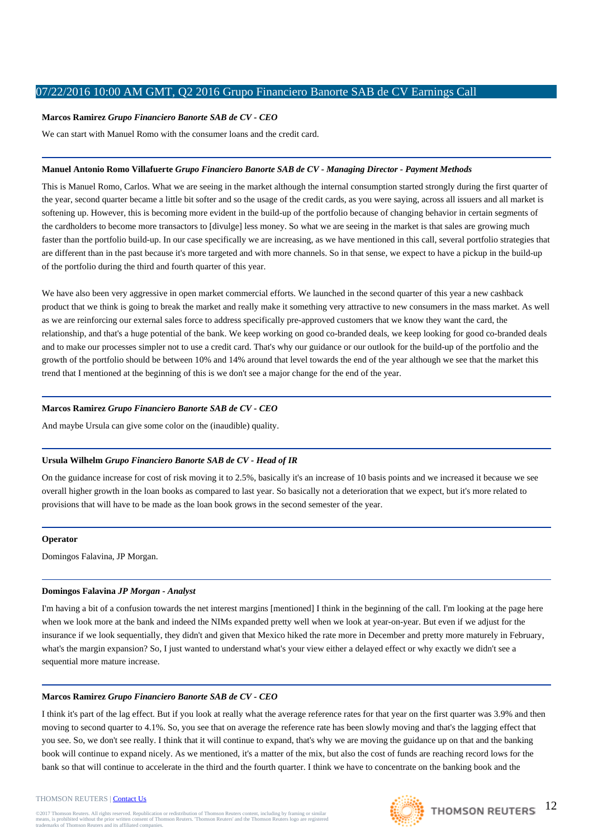### **Marcos Ramirez** *Grupo Financiero Banorte SAB de CV - CEO*

We can start with Manuel Romo with the consumer loans and the credit card.

### **Manuel Antonio Romo Villafuerte** *Grupo Financiero Banorte SAB de CV - Managing Director - Payment Methods*

This is Manuel Romo, Carlos. What we are seeing in the market although the internal consumption started strongly during the first quarter of the year, second quarter became a little bit softer and so the usage of the credit cards, as you were saying, across all issuers and all market is softening up. However, this is becoming more evident in the build-up of the portfolio because of changing behavior in certain segments of the cardholders to become more transactors to [divulge] less money. So what we are seeing in the market is that sales are growing much faster than the portfolio build-up. In our case specifically we are increasing, as we have mentioned in this call, several portfolio strategies that are different than in the past because it's more targeted and with more channels. So in that sense, we expect to have a pickup in the build-up of the portfolio during the third and fourth quarter of this year.

We have also been very aggressive in open market commercial efforts. We launched in the second quarter of this year a new cashback product that we think is going to break the market and really make it something very attractive to new consumers in the mass market. As well as we are reinforcing our external sales force to address specifically pre-approved customers that we know they want the card, the relationship, and that's a huge potential of the bank. We keep working on good co-branded deals, we keep looking for good co-branded deals and to make our processes simpler not to use a credit card. That's why our guidance or our outlook for the build-up of the portfolio and the growth of the portfolio should be between 10% and 14% around that level towards the end of the year although we see that the market this trend that I mentioned at the beginning of this is we don't see a major change for the end of the year.

### **Marcos Ramirez** *Grupo Financiero Banorte SAB de CV - CEO*

And maybe Ursula can give some color on the (inaudible) quality.

### **Ursula Wilhelm** *Grupo Financiero Banorte SAB de CV - Head of IR*

On the guidance increase for cost of risk moving it to 2.5%, basically it's an increase of 10 basis points and we increased it because we see overall higher growth in the loan books as compared to last year. So basically not a deterioration that we expect, but it's more related to provisions that will have to be made as the loan book grows in the second semester of the year.

### **Operator**

Domingos Falavina, JP Morgan.

### **Domingos Falavina** *JP Morgan - Analyst*

I'm having a bit of a confusion towards the net interest margins [mentioned] I think in the beginning of the call. I'm looking at the page here when we look more at the bank and indeed the NIMs expanded pretty well when we look at year-on-year. But even if we adjust for the insurance if we look sequentially, they didn't and given that Mexico hiked the rate more in December and pretty more maturely in February, what's the margin expansion? So, I just wanted to understand what's your view either a delayed effect or why exactly we didn't see a sequential more mature increase.

### **Marcos Ramirez** *Grupo Financiero Banorte SAB de CV - CEO*

I think it's part of the lag effect. But if you look at really what the average reference rates for that year on the first quarter was 3.9% and then moving to second quarter to 4.1%. So, you see that on average the reference rate has been slowly moving and that's the lagging effect that you see. So, we don't see really. I think that it will continue to expand, that's why we are moving the guidance up on that and the banking book will continue to expand nicely. As we mentioned, it's a matter of the mix, but also the cost of funds are reaching record lows for the bank so that will continue to accelerate in the third and the fourth quarter. I think we have to concentrate on the banking book and the

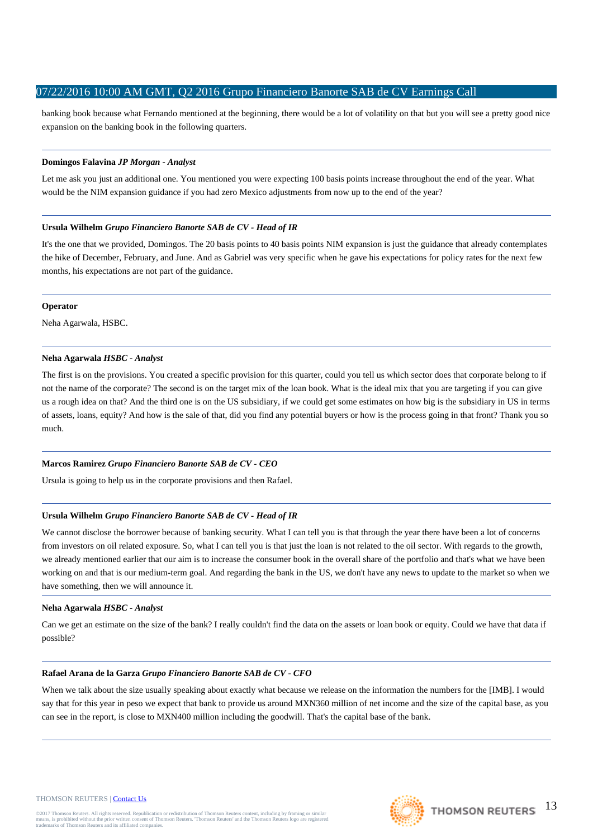banking book because what Fernando mentioned at the beginning, there would be a lot of volatility on that but you will see a pretty good nice expansion on the banking book in the following quarters.

### **Domingos Falavina** *JP Morgan - Analyst*

Let me ask you just an additional one. You mentioned you were expecting 100 basis points increase throughout the end of the year. What would be the NIM expansion guidance if you had zero Mexico adjustments from now up to the end of the year?

### **Ursula Wilhelm** *Grupo Financiero Banorte SAB de CV - Head of IR*

It's the one that we provided, Domingos. The 20 basis points to 40 basis points NIM expansion is just the guidance that already contemplates the hike of December, February, and June. And as Gabriel was very specific when he gave his expectations for policy rates for the next few months, his expectations are not part of the guidance.

### **Operator**

Neha Agarwala, HSBC.

### **Neha Agarwala** *HSBC - Analyst*

The first is on the provisions. You created a specific provision for this quarter, could you tell us which sector does that corporate belong to if not the name of the corporate? The second is on the target mix of the loan book. What is the ideal mix that you are targeting if you can give us a rough idea on that? And the third one is on the US subsidiary, if we could get some estimates on how big is the subsidiary in US in terms of assets, loans, equity? And how is the sale of that, did you find any potential buyers or how is the process going in that front? Thank you so much.

### **Marcos Ramirez** *Grupo Financiero Banorte SAB de CV - CEO*

Ursula is going to help us in the corporate provisions and then Rafael.

### **Ursula Wilhelm** *Grupo Financiero Banorte SAB de CV - Head of IR*

We cannot disclose the borrower because of banking security. What I can tell you is that through the year there have been a lot of concerns from investors on oil related exposure. So, what I can tell you is that just the loan is not related to the oil sector. With regards to the growth, we already mentioned earlier that our aim is to increase the consumer book in the overall share of the portfolio and that's what we have been working on and that is our medium-term goal. And regarding the bank in the US, we don't have any news to update to the market so when we have something, then we will announce it.

### **Neha Agarwala** *HSBC - Analyst*

Can we get an estimate on the size of the bank? I really couldn't find the data on the assets or loan book or equity. Could we have that data if possible?

### **Rafael Arana de la Garza** *Grupo Financiero Banorte SAB de CV - CFO*

When we talk about the size usually speaking about exactly what because we release on the information the numbers for the [IMB]. I would say that for this year in peso we expect that bank to provide us around MXN360 million of net income and the size of the capital base, as you can see in the report, is close to MXN400 million including the goodwill. That's the capital base of the bank.

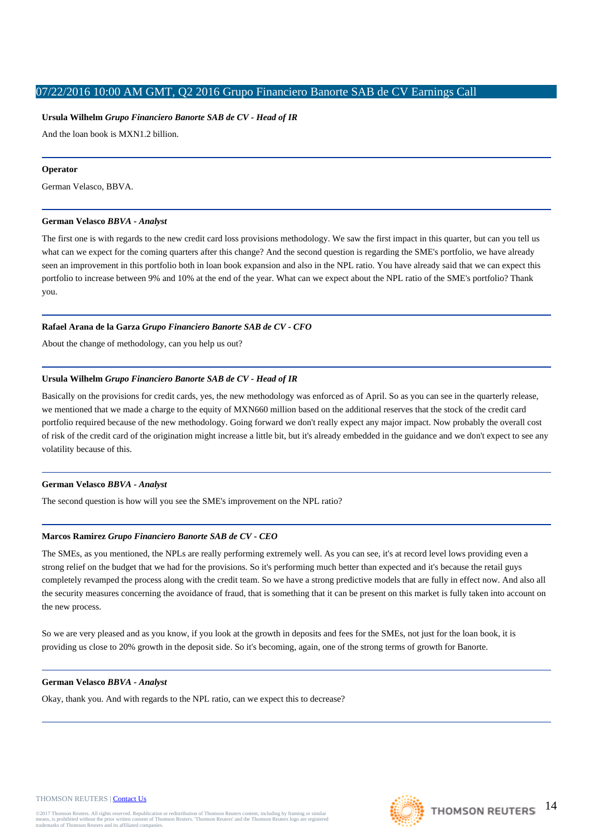### **Ursula Wilhelm** *Grupo Financiero Banorte SAB de CV - Head of IR*

And the loan book is MXN1.2 billion.

### **Operator**

German Velasco, BBVA.

### **German Velasco** *BBVA - Analyst*

The first one is with regards to the new credit card loss provisions methodology. We saw the first impact in this quarter, but can you tell us what can we expect for the coming quarters after this change? And the second question is regarding the SME's portfolio, we have already seen an improvement in this portfolio both in loan book expansion and also in the NPL ratio. You have already said that we can expect this portfolio to increase between 9% and 10% at the end of the year. What can we expect about the NPL ratio of the SME's portfolio? Thank you.

### **Rafael Arana de la Garza** *Grupo Financiero Banorte SAB de CV - CFO*

About the change of methodology, can you help us out?

# **Ursula Wilhelm** *Grupo Financiero Banorte SAB de CV - Head of IR*

Basically on the provisions for credit cards, yes, the new methodology was enforced as of April. So as you can see in the quarterly release, we mentioned that we made a charge to the equity of MXN660 million based on the additional reserves that the stock of the credit card portfolio required because of the new methodology. Going forward we don't really expect any major impact. Now probably the overall cost of risk of the credit card of the origination might increase a little bit, but it's already embedded in the guidance and we don't expect to see any volatility because of this.

# **German Velasco** *BBVA - Analyst*

The second question is how will you see the SME's improvement on the NPL ratio?

### **Marcos Ramirez** *Grupo Financiero Banorte SAB de CV - CEO*

The SMEs, as you mentioned, the NPLs are really performing extremely well. As you can see, it's at record level lows providing even a strong relief on the budget that we had for the provisions. So it's performing much better than expected and it's because the retail guys completely revamped the process along with the credit team. So we have a strong predictive models that are fully in effect now. And also all the security measures concerning the avoidance of fraud, that is something that it can be present on this market is fully taken into account on the new process.

So we are very pleased and as you know, if you look at the growth in deposits and fees for the SMEs, not just for the loan book, it is providing us close to 20% growth in the deposit side. So it's becoming, again, one of the strong terms of growth for Banorte.

### **German Velasco** *BBVA - Analyst*

Okay, thank you. And with regards to the NPL ratio, can we expect this to decrease?

#### THOMSON REUTERS | [Contact Us](http://financial.thomsonreuters.com/en/contact-us.html)

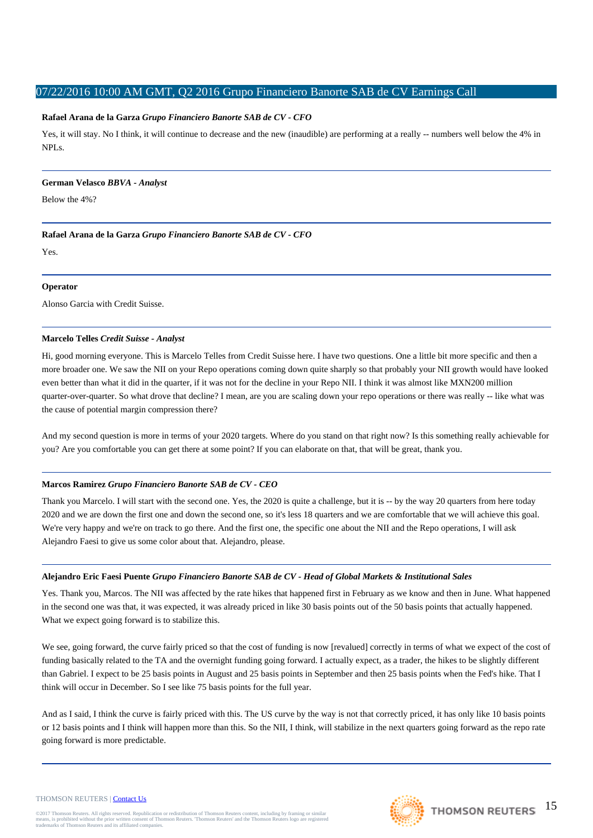### **Rafael Arana de la Garza** *Grupo Financiero Banorte SAB de CV - CFO*

Yes, it will stay. No I think, it will continue to decrease and the new (inaudible) are performing at a really -- numbers well below the 4% in NPLs.

### **German Velasco** *BBVA - Analyst*

Below the 4%?

**Rafael Arana de la Garza** *Grupo Financiero Banorte SAB de CV - CFO*

Yes.

### **Operator**

Alonso Garcia with Credit Suisse.

### **Marcelo Telles** *Credit Suisse - Analyst*

Hi, good morning everyone. This is Marcelo Telles from Credit Suisse here. I have two questions. One a little bit more specific and then a more broader one. We saw the NII on your Repo operations coming down quite sharply so that probably your NII growth would have looked even better than what it did in the quarter, if it was not for the decline in your Repo NII. I think it was almost like MXN200 million quarter-over-quarter. So what drove that decline? I mean, are you are scaling down your repo operations or there was really -- like what was the cause of potential margin compression there?

And my second question is more in terms of your 2020 targets. Where do you stand on that right now? Is this something really achievable for you? Are you comfortable you can get there at some point? If you can elaborate on that, that will be great, thank you.

### **Marcos Ramirez** *Grupo Financiero Banorte SAB de CV - CEO*

Thank you Marcelo. I will start with the second one. Yes, the 2020 is quite a challenge, but it is -- by the way 20 quarters from here today 2020 and we are down the first one and down the second one, so it's less 18 quarters and we are comfortable that we will achieve this goal. We're very happy and we're on track to go there. And the first one, the specific one about the NII and the Repo operations, I will ask Alejandro Faesi to give us some color about that. Alejandro, please.

### **Alejandro Eric Faesi Puente** *Grupo Financiero Banorte SAB de CV - Head of Global Markets & Institutional Sales*

Yes. Thank you, Marcos. The NII was affected by the rate hikes that happened first in February as we know and then in June. What happened in the second one was that, it was expected, it was already priced in like 30 basis points out of the 50 basis points that actually happened. What we expect going forward is to stabilize this.

We see, going forward, the curve fairly priced so that the cost of funding is now [revalued] correctly in terms of what we expect of the cost of funding basically related to the TA and the overnight funding going forward. I actually expect, as a trader, the hikes to be slightly different than Gabriel. I expect to be 25 basis points in August and 25 basis points in September and then 25 basis points when the Fed's hike. That I think will occur in December. So I see like 75 basis points for the full year.

And as I said, I think the curve is fairly priced with this. The US curve by the way is not that correctly priced, it has only like 10 basis points or 12 basis points and I think will happen more than this. So the NII, I think, will stabilize in the next quarters going forward as the repo rate going forward is more predictable.

#### THOMSON REUTERS | [Contact Us](http://financial.thomsonreuters.com/en/contact-us.html)

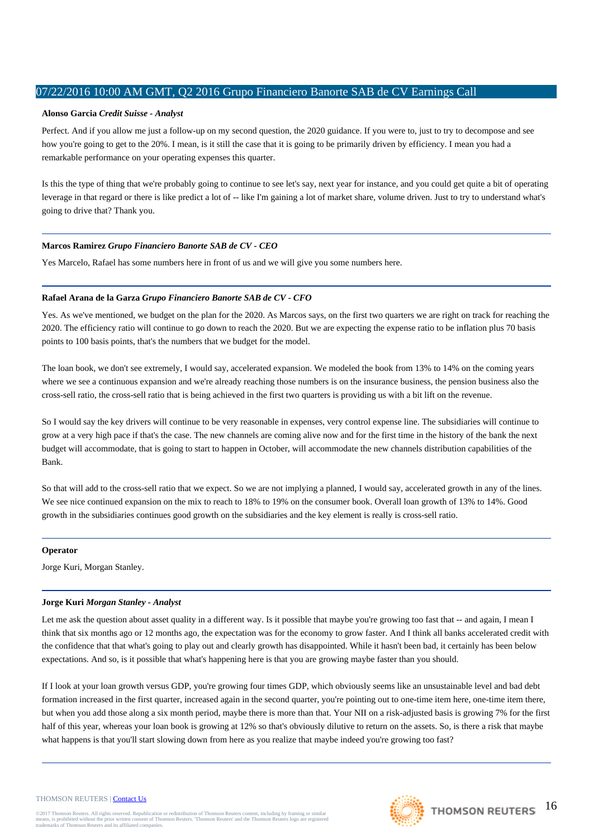### **Alonso Garcia** *Credit Suisse - Analyst*

Perfect. And if you allow me just a follow-up on my second question, the 2020 guidance. If you were to, just to try to decompose and see how you're going to get to the 20%. I mean, is it still the case that it is going to be primarily driven by efficiency. I mean you had a remarkable performance on your operating expenses this quarter.

Is this the type of thing that we're probably going to continue to see let's say, next year for instance, and you could get quite a bit of operating leverage in that regard or there is like predict a lot of -- like I'm gaining a lot of market share, volume driven. Just to try to understand what's going to drive that? Thank you.

### **Marcos Ramirez** *Grupo Financiero Banorte SAB de CV - CEO*

Yes Marcelo, Rafael has some numbers here in front of us and we will give you some numbers here.

### **Rafael Arana de la Garza** *Grupo Financiero Banorte SAB de CV - CFO*

Yes. As we've mentioned, we budget on the plan for the 2020. As Marcos says, on the first two quarters we are right on track for reaching the 2020. The efficiency ratio will continue to go down to reach the 2020. But we are expecting the expense ratio to be inflation plus 70 basis points to 100 basis points, that's the numbers that we budget for the model.

The loan book, we don't see extremely, I would say, accelerated expansion. We modeled the book from 13% to 14% on the coming years where we see a continuous expansion and we're already reaching those numbers is on the insurance business, the pension business also the cross-sell ratio, the cross-sell ratio that is being achieved in the first two quarters is providing us with a bit lift on the revenue.

So I would say the key drivers will continue to be very reasonable in expenses, very control expense line. The subsidiaries will continue to grow at a very high pace if that's the case. The new channels are coming alive now and for the first time in the history of the bank the next budget will accommodate, that is going to start to happen in October, will accommodate the new channels distribution capabilities of the Bank.

So that will add to the cross-sell ratio that we expect. So we are not implying a planned, I would say, accelerated growth in any of the lines. We see nice continued expansion on the mix to reach to 18% to 19% on the consumer book. Overall loan growth of 13% to 14%. Good growth in the subsidiaries continues good growth on the subsidiaries and the key element is really is cross-sell ratio.

### **Operator**

Jorge Kuri, Morgan Stanley.

### **Jorge Kuri** *Morgan Stanley - Analyst*

Let me ask the question about asset quality in a different way. Is it possible that maybe you're growing too fast that -- and again, I mean I think that six months ago or 12 months ago, the expectation was for the economy to grow faster. And I think all banks accelerated credit with the confidence that that what's going to play out and clearly growth has disappointed. While it hasn't been bad, it certainly has been below expectations. And so, is it possible that what's happening here is that you are growing maybe faster than you should.

If I look at your loan growth versus GDP, you're growing four times GDP, which obviously seems like an unsustainable level and bad debt formation increased in the first quarter, increased again in the second quarter, you're pointing out to one-time item here, one-time item there, but when you add those along a six month period, maybe there is more than that. Your NII on a risk-adjusted basis is growing 7% for the first half of this year, whereas your loan book is growing at 12% so that's obviously dilutive to return on the assets. So, is there a risk that maybe what happens is that you'll start slowing down from here as you realize that maybe indeed you're growing too fast?

#### THOMSON REUTERS | [Contact Us](http://financial.thomsonreuters.com/en/contact-us.html)

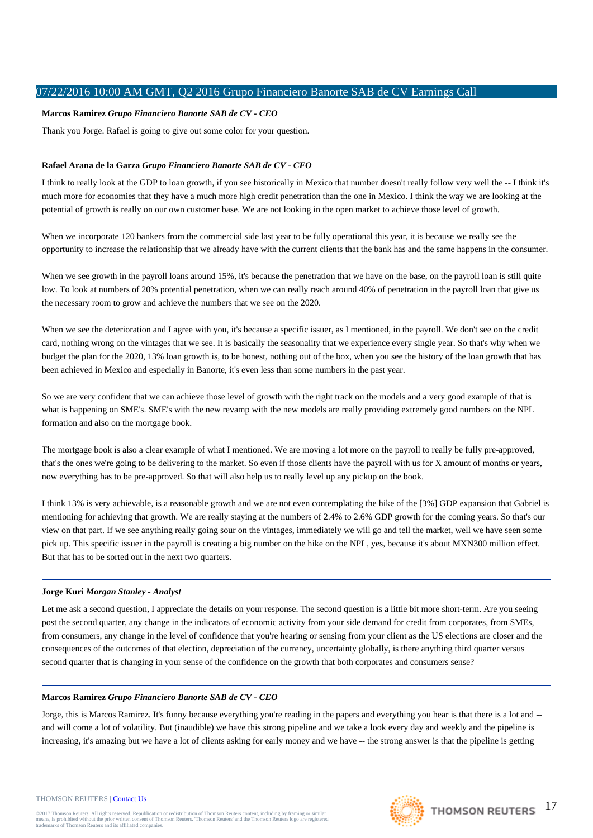### **Marcos Ramirez** *Grupo Financiero Banorte SAB de CV - CEO*

Thank you Jorge. Rafael is going to give out some color for your question.

### **Rafael Arana de la Garza** *Grupo Financiero Banorte SAB de CV - CFO*

I think to really look at the GDP to loan growth, if you see historically in Mexico that number doesn't really follow very well the -- I think it's much more for economies that they have a much more high credit penetration than the one in Mexico. I think the way we are looking at the potential of growth is really on our own customer base. We are not looking in the open market to achieve those level of growth.

When we incorporate 120 bankers from the commercial side last year to be fully operational this year, it is because we really see the opportunity to increase the relationship that we already have with the current clients that the bank has and the same happens in the consumer.

When we see growth in the payroll loans around 15%, it's because the penetration that we have on the base, on the payroll loan is still quite low. To look at numbers of 20% potential penetration, when we can really reach around 40% of penetration in the payroll loan that give us the necessary room to grow and achieve the numbers that we see on the 2020.

When we see the deterioration and I agree with you, it's because a specific issuer, as I mentioned, in the payroll. We don't see on the credit card, nothing wrong on the vintages that we see. It is basically the seasonality that we experience every single year. So that's why when we budget the plan for the 2020, 13% loan growth is, to be honest, nothing out of the box, when you see the history of the loan growth that has been achieved in Mexico and especially in Banorte, it's even less than some numbers in the past year.

So we are very confident that we can achieve those level of growth with the right track on the models and a very good example of that is what is happening on SME's. SME's with the new revamp with the new models are really providing extremely good numbers on the NPL formation and also on the mortgage book.

The mortgage book is also a clear example of what I mentioned. We are moving a lot more on the payroll to really be fully pre-approved, that's the ones we're going to be delivering to the market. So even if those clients have the payroll with us for X amount of months or years, now everything has to be pre-approved. So that will also help us to really level up any pickup on the book.

I think 13% is very achievable, is a reasonable growth and we are not even contemplating the hike of the [3%] GDP expansion that Gabriel is mentioning for achieving that growth. We are really staying at the numbers of 2.4% to 2.6% GDP growth for the coming years. So that's our view on that part. If we see anything really going sour on the vintages, immediately we will go and tell the market, well we have seen some pick up. This specific issuer in the payroll is creating a big number on the hike on the NPL, yes, because it's about MXN300 million effect. But that has to be sorted out in the next two quarters.

# **Jorge Kuri** *Morgan Stanley - Analyst*

Let me ask a second question, I appreciate the details on your response. The second question is a little bit more short-term. Are you seeing post the second quarter, any change in the indicators of economic activity from your side demand for credit from corporates, from SMEs, from consumers, any change in the level of confidence that you're hearing or sensing from your client as the US elections are closer and the consequences of the outcomes of that election, depreciation of the currency, uncertainty globally, is there anything third quarter versus second quarter that is changing in your sense of the confidence on the growth that both corporates and consumers sense?

### **Marcos Ramirez** *Grupo Financiero Banorte SAB de CV - CEO*

Jorge, this is Marcos Ramirez. It's funny because everything you're reading in the papers and everything you hear is that there is a lot and - and will come a lot of volatility. But (inaudible) we have this strong pipeline and we take a look every day and weekly and the pipeline is increasing, it's amazing but we have a lot of clients asking for early money and we have -- the strong answer is that the pipeline is getting

#### THOMSON REUTERS | [Contact Us](http://financial.thomsonreuters.com/en/contact-us.html)

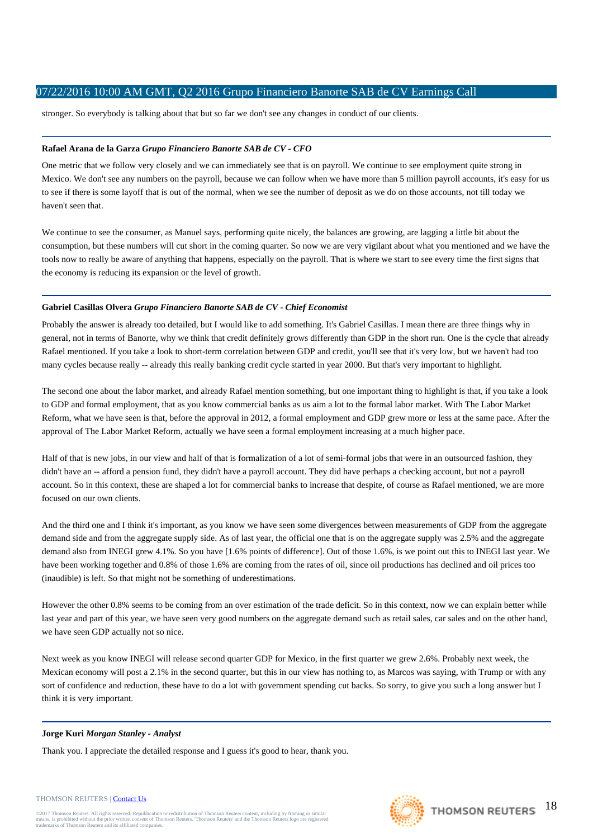stronger. So everybody is talking about that but so far we don't see any changes in conduct of our clients.

### **Rafael Arana de la Garza** *Grupo Financiero Banorte SAB de CV - CFO*

One metric that we follow very closely and we can immediately see that is on payroll. We continue to see employment quite strong in Mexico. We don't see any numbers on the payroll, because we can follow when we have more than 5 million payroll accounts, it's easy for us to see if there is some layoff that is out of the normal, when we see the number of deposit as we do on those accounts, not till today we haven't seen that.

We continue to see the consumer, as Manuel says, performing quite nicely, the balances are growing, are lagging a little bit about the consumption, but these numbers will cut short in the coming quarter. So now we are very vigilant about what you mentioned and we have the tools now to really be aware of anything that happens, especially on the payroll. That is where we start to see every time the first signs that the economy is reducing its expansion or the level of growth.

# **Gabriel Casillas Olvera** *Grupo Financiero Banorte SAB de CV - Chief Economist*

Probably the answer is already too detailed, but I would like to add something. It's Gabriel Casillas. I mean there are three things why in general, not in terms of Banorte, why we think that credit definitely grows differently than GDP in the short run. One is the cycle that already Rafael mentioned. If you take a look to short-term correlation between GDP and credit, you'll see that it's very low, but we haven't had too many cycles because really -- already this really banking credit cycle started in year 2000. But that's very important to highlight.

The second one about the labor market, and already Rafael mention something, but one important thing to highlight is that, if you take a look to GDP and formal employment, that as you know commercial banks as us aim a lot to the formal labor market. With The Labor Market Reform, what we have seen is that, before the approval in 2012, a formal employment and GDP grew more or less at the same pace. After the approval of The Labor Market Reform, actually we have seen a formal employment increasing at a much higher pace.

Half of that is new jobs, in our view and half of that is formalization of a lot of semi-formal jobs that were in an outsourced fashion, they didn't have an -- afford a pension fund, they didn't have a payroll account. They did have perhaps a checking account, but not a payroll account. So in this context, these are shaped a lot for commercial banks to increase that despite, of course as Rafael mentioned, we are more focused on our own clients.

And the third one and I think it's important, as you know we have seen some divergences between measurements of GDP from the aggregate demand side and from the aggregate supply side. As of last year, the official one that is on the aggregate supply was 2.5% and the aggregate demand also from INEGI grew 4.1%. So you have [1.6% points of difference]. Out of those 1.6%, is we point out this to INEGI last year. We have been working together and 0.8% of those 1.6% are coming from the rates of oil, since oil productions has declined and oil prices too (inaudible) is left. So that might not be something of underestimations.

However the other 0.8% seems to be coming from an over estimation of the trade deficit. So in this context, now we can explain better while last year and part of this year, we have seen very good numbers on the aggregate demand such as retail sales, car sales and on the other hand, we have seen GDP actually not so nice.

Next week as you know INEGI will release second quarter GDP for Mexico, in the first quarter we grew 2.6%. Probably next week, the Mexican economy will post a 2.1% in the second quarter, but this in our view has nothing to, as Marcos was saying, with Trump or with any sort of confidence and reduction, these have to do a lot with government spending cut backs. So sorry, to give you such a long answer but I think it is very important.

### **Jorge Kuri** *Morgan Stanley - Analyst*

Thank you. I appreciate the detailed response and I guess it's good to hear, thank you.

### THOMSON REUTERS | [Contact Us](http://financial.thomsonreuters.com/en/contact-us.html)

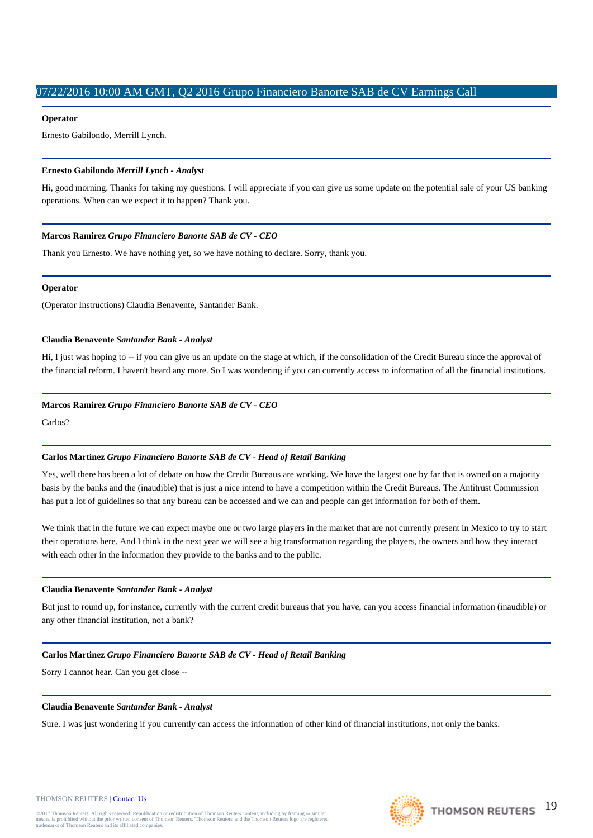### **Operator**

Ernesto Gabilondo, Merrill Lynch.

### **Ernesto Gabilondo** *Merrill Lynch - Analyst*

Hi, good morning. Thanks for taking my questions. I will appreciate if you can give us some update on the potential sale of your US banking operations. When can we expect it to happen? Thank you.

### **Marcos Ramirez** *Grupo Financiero Banorte SAB de CV - CEO*

Thank you Ernesto. We have nothing yet, so we have nothing to declare. Sorry, thank you.

### **Operator**

(Operator Instructions) Claudia Benavente, Santander Bank.

### **Claudia Benavente** *Santander Bank - Analyst*

Hi, I just was hoping to -- if you can give us an update on the stage at which, if the consolidation of the Credit Bureau since the approval of the financial reform. I haven't heard any more. So I was wondering if you can currently access to information of all the financial institutions.

### **Marcos Ramirez** *Grupo Financiero Banorte SAB de CV - CEO*

Carlos?

### **Carlos Martinez** *Grupo Financiero Banorte SAB de CV - Head of Retail Banking*

Yes, well there has been a lot of debate on how the Credit Bureaus are working. We have the largest one by far that is owned on a majority basis by the banks and the (inaudible) that is just a nice intend to have a competition within the Credit Bureaus. The Antitrust Commission has put a lot of guidelines so that any bureau can be accessed and we can and people can get information for both of them.

We think that in the future we can expect maybe one or two large players in the market that are not currently present in Mexico to try to start their operations here. And I think in the next year we will see a big transformation regarding the players, the owners and how they interact with each other in the information they provide to the banks and to the public.

### **Claudia Benavente** *Santander Bank - Analyst*

But just to round up, for instance, currently with the current credit bureaus that you have, can you access financial information (inaudible) or any other financial institution, not a bank?

### **Carlos Martinez** *Grupo Financiero Banorte SAB de CV - Head of Retail Banking*

Sorry I cannot hear. Can you get close --

### **Claudia Benavente** *Santander Bank - Analyst*

Sure. I was just wondering if you currently can access the information of other kind of financial institutions, not only the banks.

#### THOMSON REUTERS | [Contact Us](http://financial.thomsonreuters.com/en/contact-us.html)